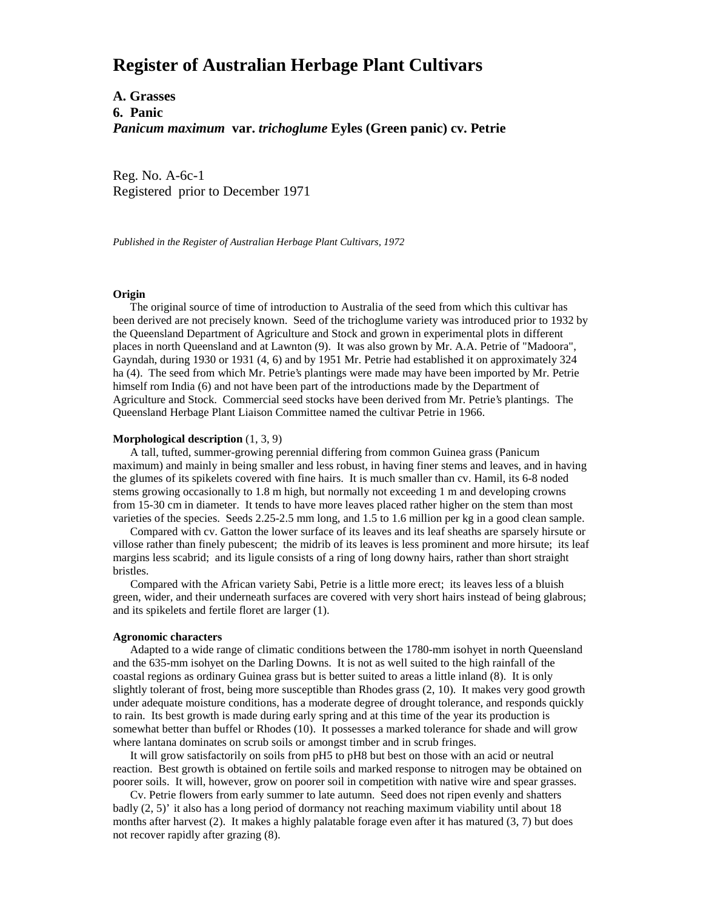# **Register of Australian Herbage Plant Cultivars**

**A. Grasses 6. Panic** *Panicum maximum* **var.** *trichoglume* **Eyles (Green panic) cv. Petrie**

Reg. No. A-6c-1 Registered prior to December 1971

*Published in the Register of Australian Herbage Plant Cultivars, 1972*

## **Origin**

 The original source of time of introduction to Australia of the seed from which this cultivar has been derived are not precisely known. Seed of the trichoglume variety was introduced prior to 1932 by the Queensland Department of Agriculture and Stock and grown in experimental plots in different places in north Queensland and at Lawnton (9). It was also grown by Mr. A.A. Petrie of "Madoora", Gayndah, during 1930 or 1931 (4, 6) and by 1951 Mr. Petrie had established it on approximately 324 ha (4). The seed from which Mr. Petrie's plantings were made may have been imported by Mr. Petrie himself rom India (6) and not have been part of the introductions made by the Department of Agriculture and Stock. Commercial seed stocks have been derived from Mr. Petrie's plantings. The Queensland Herbage Plant Liaison Committee named the cultivar Petrie in 1966.

### **Morphological description** (1, 3, 9)

 A tall, tufted, summer-growing perennial differing from common Guinea grass (Panicum maximum) and mainly in being smaller and less robust, in having finer stems and leaves, and in having the glumes of its spikelets covered with fine hairs. It is much smaller than cv. Hamil, its 6-8 noded stems growing occasionally to 1.8 m high, but normally not exceeding 1 m and developing crowns from 15-30 cm in diameter. It tends to have more leaves placed rather higher on the stem than most varieties of the species. Seeds 2.25-2.5 mm long, and 1.5 to 1.6 million per kg in a good clean sample.

 Compared with cv. Gatton the lower surface of its leaves and its leaf sheaths are sparsely hirsute or villose rather than finely pubescent; the midrib of its leaves is less prominent and more hirsute; its leaf margins less scabrid; and its ligule consists of a ring of long downy hairs, rather than short straight bristles.

 Compared with the African variety Sabi, Petrie is a little more erect; its leaves less of a bluish green, wider, and their underneath surfaces are covered with very short hairs instead of being glabrous; and its spikelets and fertile floret are larger (1).

#### **Agronomic characters**

 Adapted to a wide range of climatic conditions between the 1780-mm isohyet in north Queensland and the 635-mm isohyet on the Darling Downs. It is not as well suited to the high rainfall of the coastal regions as ordinary Guinea grass but is better suited to areas a little inland (8). It is only slightly tolerant of frost, being more susceptible than Rhodes grass (2, 10). It makes very good growth under adequate moisture conditions, has a moderate degree of drought tolerance, and responds quickly to rain. Its best growth is made during early spring and at this time of the year its production is somewhat better than buffel or Rhodes (10). It possesses a marked tolerance for shade and will grow where lantana dominates on scrub soils or amongst timber and in scrub fringes.

 It will grow satisfactorily on soils from pH5 to pH8 but best on those with an acid or neutral reaction. Best growth is obtained on fertile soils and marked response to nitrogen may be obtained on poorer soils. It will, however, grow on poorer soil in competition with native wire and spear grasses.

 Cv. Petrie flowers from early summer to late autumn. Seed does not ripen evenly and shatters badly (2, 5)' it also has a long period of dormancy not reaching maximum viability until about 18 months after harvest (2). It makes a highly palatable forage even after it has matured (3, 7) but does not recover rapidly after grazing (8).